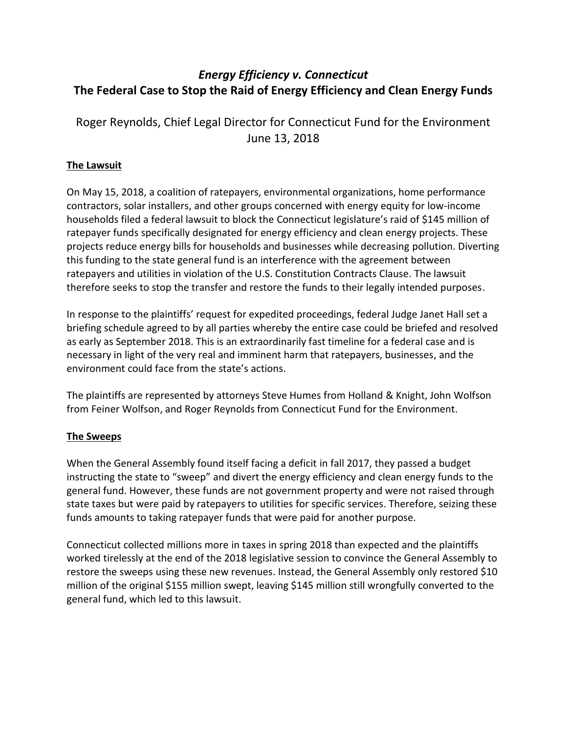# *Energy Efficiency v. Connecticut* **The Federal Case to Stop the Raid of Energy Efficiency and Clean Energy Funds**

Roger Reynolds, Chief Legal Director for Connecticut Fund for the Environment June 13, 2018

# **The Lawsuit**

On May 15, 2018, a coalition of ratepayers, environmental organizations, home performance contractors, solar installers, and other groups concerned with energy equity for low-income households filed a federal lawsuit to block the Connecticut legislature's raid of \$145 million of ratepayer funds specifically designated for energy efficiency and clean energy projects. These projects reduce energy bills for households and businesses while decreasing pollution. Diverting this funding to the state general fund is an interference with the agreement between ratepayers and utilities in violation of the U.S. Constitution Contracts Clause. The lawsuit therefore seeks to stop the transfer and restore the funds to their legally intended purposes.

In response to the plaintiffs' request for expedited proceedings, federal Judge Janet Hall set a briefing schedule agreed to by all parties whereby the entire case could be briefed and resolved as early as September 2018. This is an extraordinarily fast timeline for a federal case and is necessary in light of the very real and imminent harm that ratepayers, businesses, and the environment could face from the state's actions.

The plaintiffs are represented by attorneys Steve Humes from Holland & Knight, John Wolfson from Feiner Wolfson, and Roger Reynolds from Connecticut Fund for the Environment.

## **The Sweeps**

When the General Assembly found itself facing a deficit in fall 2017, they passed a budget instructing the state to "sweep" and divert the energy efficiency and clean energy funds to the general fund. However, these funds are not government property and were not raised through state taxes but were paid by ratepayers to utilities for specific services. Therefore, seizing these funds amounts to taking ratepayer funds that were paid for another purpose.

Connecticut collected millions more in taxes in spring 2018 than expected and the plaintiffs worked tirelessly at the end of the 2018 legislative session to convince the General Assembly to restore the sweeps using these new revenues. Instead, the General Assembly only restored \$10 million of the original \$155 million swept, leaving \$145 million still wrongfully converted to the general fund, which led to this lawsuit.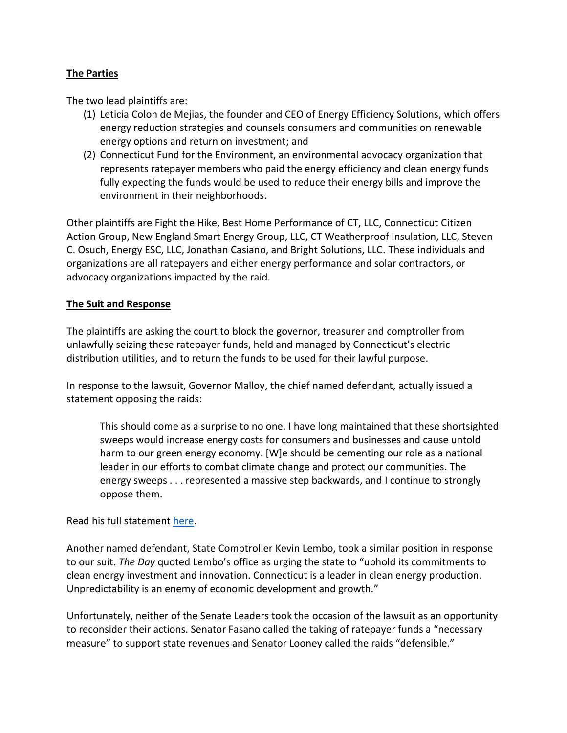### **The Parties**

The two lead plaintiffs are:

- (1) Leticia Colon de Mejias, the founder and CEO of Energy Efficiency Solutions, which offers energy reduction strategies and counsels consumers and communities on renewable energy options and return on investment; and
- (2) Connecticut Fund for the Environment, an environmental advocacy organization that represents ratepayer members who paid the energy efficiency and clean energy funds fully expecting the funds would be used to reduce their energy bills and improve the environment in their neighborhoods.

Other plaintiffs are Fight the Hike, Best Home Performance of CT, LLC, Connecticut Citizen Action Group, New England Smart Energy Group, LLC, CT Weatherproof Insulation, LLC, Steven C. Osuch, Energy ESC, LLC, Jonathan Casiano, and Bright Solutions, LLC. These individuals and organizations are all ratepayers and either energy performance and solar contractors, or advocacy organizations impacted by the raid.

#### **The Suit and Response**

The plaintiffs are asking the court to block the governor, treasurer and comptroller from unlawfully seizing these ratepayer funds, held and managed by Connecticut's electric distribution utilities, and to return the funds to be used for their lawful purpose.

In response to the lawsuit, Governor Malloy, the chief named defendant, actually issued a statement opposing the raids:

This should come as a surprise to no one. I have long maintained that these shortsighted sweeps would increase energy costs for consumers and businesses and cause untold harm to our green energy economy. [W]e should be cementing our role as a national leader in our efforts to combat climate change and protect our communities. The energy sweeps . . . represented a massive step backwards, and I continue to strongly oppose them.

Read his full statement [here.](http://portal.ct.gov/Office-of-the-Governor/Press-Room/Press-Releases/2018/05-2018/Gov-Malloy-Statement-on-Energy-Sweep-Lawsuit)

Another named defendant, State Comptroller Kevin Lembo, took a similar position in response to our suit. *The Day* quoted Lembo's office as urging the state to "uphold its commitments to clean energy investment and innovation. Connecticut is a leader in clean energy production. Unpredictability is an enemy of economic development and growth."

Unfortunately, neither of the Senate Leaders took the occasion of the lawsuit as an opportunity to reconsider their actions. Senator Fasano called the taking of ratepayer funds a "necessary measure" to support state revenues and Senator Looney called the raids "defensible."